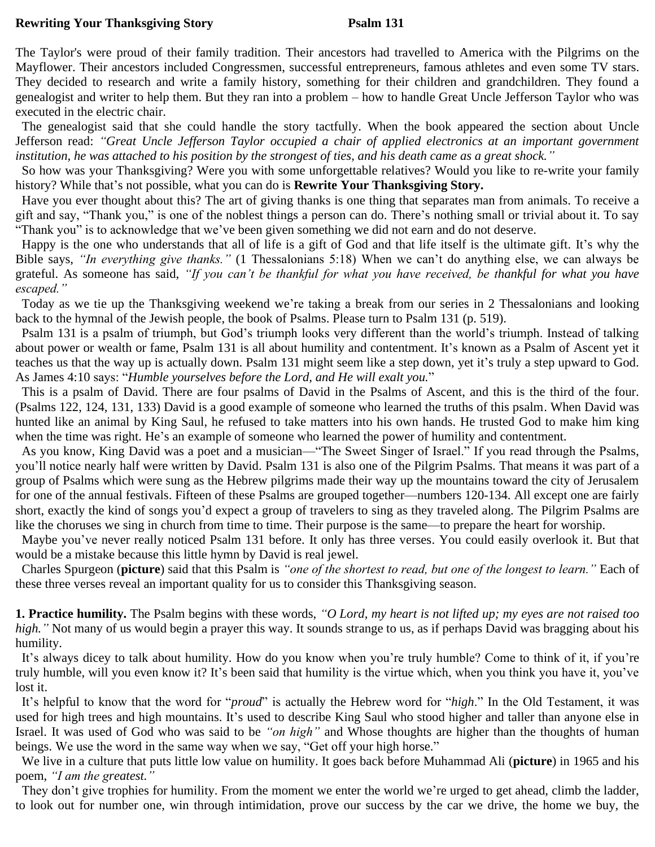## **Rewriting Your Thanksgiving Story Psalm 131**

The Taylor's were proud of their family tradition. Their ancestors had travelled to America with the Pilgrims on the Mayflower. Their ancestors included Congressmen, successful entrepreneurs, famous athletes and even some TV stars. They decided to research and write a family history, something for their children and grandchildren. They found a genealogist and writer to help them. But they ran into a problem – how to handle Great Uncle Jefferson Taylor who was executed in the electric chair.

 The genealogist said that she could handle the story tactfully. When the book appeared the section about Uncle Jefferson read: *"Great Uncle Jefferson Taylor occupied a chair of applied electronics at an important government institution, he was attached to his position by the strongest of ties, and his death came as a great shock."*

 So how was your Thanksgiving? Were you with some unforgettable relatives? Would you like to re-write your family history? While that's not possible, what you can do is **Rewrite Your Thanksgiving Story.**

Have you ever thought about this? The art of giving thanks is one thing that separates man from animals. To receive a gift and say, "Thank you," is one of the noblest things a person can do. There's nothing small or trivial about it. To say "Thank you" is to acknowledge that we've been given something we did not earn and do not deserve.

 Happy is the one who understands that all of life is a gift of God and that life itself is the ultimate gift. It's why the Bible says, *"In everything give thanks."* (1 Thessalonians 5:18) When we can't do anything else, we can always be grateful. As someone has said, *"If you can't be thankful for what you have received, be thankful for what you have escaped."*

 Today as we tie up the Thanksgiving weekend we're taking a break from our series in 2 Thessalonians and looking back to the hymnal of the Jewish people, the book of Psalms. Please turn to Psalm 131 (p. 519).

Psalm 131 is a psalm of triumph, but God's triumph looks very different than the world's triumph. Instead of talking about power or wealth or fame, Psalm 131 is all about humility and contentment. It's known as a Psalm of Ascent yet it teaches us that the way up is actually down. Psalm 131 might seem like a step down, yet it's truly a step upward to God. As James 4:10 says: "*Humble yourselves before the Lord, and He will exalt you.*"

 This is a psalm of David. There are four psalms of David in the Psalms of Ascent, and this is the third of the four. (Psalms 122, 124, 131, 133) David is a good example of someone who learned the truths of this psalm. When David was hunted like an animal by King Saul, he refused to take matters into his own hands. He trusted God to make him king when the time was right. He's an example of someone who learned the power of humility and contentment.

 As you know, King David was a poet and a musician—"The Sweet Singer of Israel." If you read through the Psalms, you'll notice nearly half were written by David. Psalm 131 is also one of the Pilgrim Psalms. That means it was part of a group of Psalms which were sung as the Hebrew pilgrims made their way up the mountains toward the city of Jerusalem for one of the annual festivals. Fifteen of these Psalms are grouped together—numbers 120-134. All except one are fairly short, exactly the kind of songs you'd expect a group of travelers to sing as they traveled along. The Pilgrim Psalms are like the choruses we sing in church from time to time. Their purpose is the same—to prepare the heart for worship.

 Maybe you've never really noticed Psalm 131 before. It only has three verses. You could easily overlook it. But that would be a mistake because this little hymn by David is real jewel.

 Charles Spurgeon (**picture**) said that this Psalm is *"one of the shortest to read, but one of the longest to learn."* Each of these three verses reveal an important quality for us to consider this Thanksgiving season.

**1. Practice humility.** The Psalm begins with these words, *"O Lord, my heart is not lifted up; my eyes are not raised too high."* Not many of us would begin a prayer this way. It sounds strange to us, as if perhaps David was bragging about his humility.

 It's always dicey to talk about humility. How do you know when you're truly humble? Come to think of it, if you're truly humble, will you even know it? It's been said that humility is the virtue which, when you think you have it, you've lost it.

It's helpful to know that the word for "*proud*" is actually the Hebrew word for "*high*." In the Old Testament, it was used for high trees and high mountains. It's used to describe King Saul who stood higher and taller than anyone else in Israel. It was used of God who was said to be *"on high"* and Whose thoughts are higher than the thoughts of human beings. We use the word in the same way when we say, "Get off your high horse."

 We live in a culture that puts little low value on humility. It goes back before Muhammad Ali (**picture**) in 1965 and his poem, *"I am the greatest."*

 They don't give trophies for humility. From the moment we enter the world we're urged to get ahead, climb the ladder, to look out for number one, win through intimidation, prove our success by the car we drive, the home we buy, the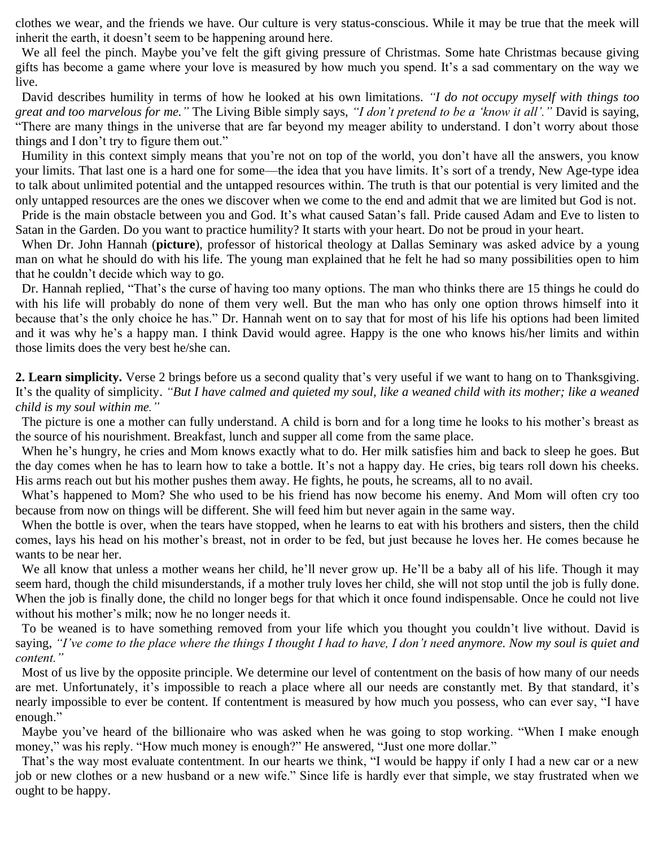clothes we wear, and the friends we have. Our culture is very status-conscious. While it may be true that the meek will inherit the earth, it doesn't seem to be happening around here.

 We all feel the pinch. Maybe you've felt the gift giving pressure of Christmas. Some hate Christmas because giving gifts has become a game where your love is measured by how much you spend. It's a sad commentary on the way we live.

 David describes humility in terms of how he looked at his own limitations. *"I do not occupy myself with things too great and too marvelous for me."* The Living Bible simply says, *"I don't pretend to be a 'know it all'."* David is saying, "There are many things in the universe that are far beyond my meager ability to understand. I don't worry about those things and I don't try to figure them out."

 Humility in this context simply means that you're not on top of the world, you don't have all the answers, you know your limits. That last one is a hard one for some—the idea that you have limits. It's sort of a trendy, New Age-type idea to talk about unlimited potential and the untapped resources within. The truth is that our potential is very limited and the only untapped resources are the ones we discover when we come to the end and admit that we are limited but God is not.

 Pride is the main obstacle between you and God. It's what caused Satan's fall. Pride caused Adam and Eve to listen to Satan in the Garden. Do you want to practice humility? It starts with your heart. Do not be proud in your heart.

 When Dr. John Hannah (**picture**), professor of historical theology at Dallas Seminary was asked advice by a young man on what he should do with his life. The young man explained that he felt he had so many possibilities open to him that he couldn't decide which way to go.

 Dr. Hannah replied, "That's the curse of having too many options. The man who thinks there are 15 things he could do with his life will probably do none of them very well. But the man who has only one option throws himself into it because that's the only choice he has." Dr. Hannah went on to say that for most of his life his options had been limited and it was why he's a happy man. I think David would agree. Happy is the one who knows his/her limits and within those limits does the very best he/she can.

**2. Learn simplicity.** Verse 2 brings before us a second quality that's very useful if we want to hang on to Thanksgiving. It's the quality of simplicity. *"But I have calmed and quieted my soul, like a weaned child with its mother; like a weaned child is my soul within me."*

 The picture is one a mother can fully understand. A child is born and for a long time he looks to his mother's breast as the source of his nourishment. Breakfast, lunch and supper all come from the same place.

 When he's hungry, he cries and Mom knows exactly what to do. Her milk satisfies him and back to sleep he goes. But the day comes when he has to learn how to take a bottle. It's not a happy day. He cries, big tears roll down his cheeks. His arms reach out but his mother pushes them away. He fights, he pouts, he screams, all to no avail.

 What's happened to Mom? She who used to be his friend has now become his enemy. And Mom will often cry too because from now on things will be different. She will feed him but never again in the same way.

 When the bottle is over, when the tears have stopped, when he learns to eat with his brothers and sisters, then the child comes, lays his head on his mother's breast, not in order to be fed, but just because he loves her. He comes because he wants to be near her.

We all know that unless a mother weans her child, he'll never grow up. He'll be a baby all of his life. Though it may seem hard, though the child misunderstands, if a mother truly loves her child, she will not stop until the job is fully done. When the job is finally done, the child no longer begs for that which it once found indispensable. Once he could not live without his mother's milk; now he no longer needs it.

 To be weaned is to have something removed from your life which you thought you couldn't live without. David is saying, *"I've come to the place where the things I thought I had to have, I don't need anymore. Now my soul is quiet and content."*

 Most of us live by the opposite principle. We determine our level of contentment on the basis of how many of our needs are met. Unfortunately, it's impossible to reach a place where all our needs are constantly met. By that standard, it's nearly impossible to ever be content. If contentment is measured by how much you possess, who can ever say, "I have enough."

 Maybe you've heard of the billionaire who was asked when he was going to stop working. "When I make enough money," was his reply. "How much money is enough?" He answered, "Just one more dollar."

 That's the way most evaluate contentment. In our hearts we think, "I would be happy if only I had a new car or a new job or new clothes or a new husband or a new wife." Since life is hardly ever that simple, we stay frustrated when we ought to be happy.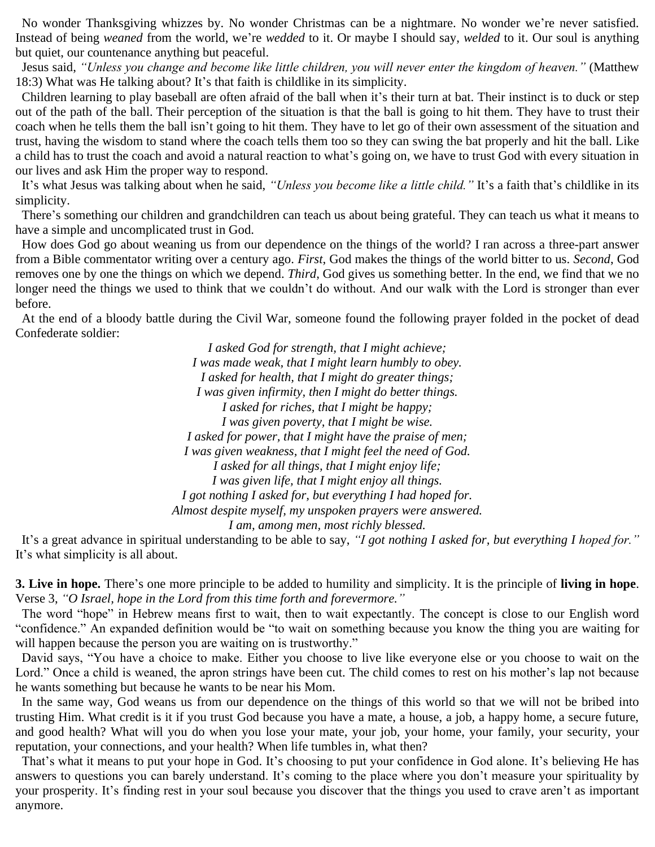No wonder Thanksgiving whizzes by. No wonder Christmas can be a nightmare. No wonder we're never satisfied. Instead of being *weaned* from the world, we're *wedded* to it. Or maybe I should say, *welded* to it. Our soul is anything but quiet, our countenance anything but peaceful.

 Jesus said, *"Unless you change and become like little children, you will never enter the kingdom of heaven."* (Matthew 18:3) What was He talking about? It's that faith is childlike in its simplicity.

 Children learning to play baseball are often afraid of the ball when it's their turn at bat. Their instinct is to duck or step out of the path of the ball. Their perception of the situation is that the ball is going to hit them. They have to trust their coach when he tells them the ball isn't going to hit them. They have to let go of their own assessment of the situation and trust, having the wisdom to stand where the coach tells them too so they can swing the bat properly and hit the ball. Like a child has to trust the coach and avoid a natural reaction to what's going on, we have to trust God with every situation in our lives and ask Him the proper way to respond.

 It's what Jesus was talking about when he said, *"Unless you become like a little child."* It's a faith that's childlike in its simplicity.

 There's something our children and grandchildren can teach us about being grateful. They can teach us what it means to have a simple and uncomplicated trust in God.

 How does God go about weaning us from our dependence on the things of the world? I ran across a three-part answer from a Bible commentator writing over a century ago. *First*, God makes the things of the world bitter to us. *Second*, God removes one by one the things on which we depend. *Third*, God gives us something better. In the end, we find that we no longer need the things we used to think that we couldn't do without. And our walk with the Lord is stronger than ever before.

 At the end of a bloody battle during the Civil War, someone found the following prayer folded in the pocket of dead Confederate soldier:

> *I asked God for strength, that I might achieve; I was made weak, that I might learn humbly to obey. I asked for health, that I might do greater things; I was given infirmity, then I might do better things. I asked for riches, that I might be happy; I was given poverty, that I might be wise. I asked for power, that I might have the praise of men; I was given weakness, that I might feel the need of God. I asked for all things, that I might enjoy life; I was given life, that I might enjoy all things. I got nothing I asked for, but everything I had hoped for. Almost despite myself, my unspoken prayers were answered. I am, among men, most richly blessed.*

 It's a great advance in spiritual understanding to be able to say, *"I got nothing I asked for, but everything I hoped for."* It's what simplicity is all about.

**3. Live in hope.** There's one more principle to be added to humility and simplicity. It is the principle of **living in hope**. Verse 3, *"O Israel, hope in the Lord from this time forth and forevermore."*

 The word "hope" in Hebrew means first to wait, then to wait expectantly. The concept is close to our English word "confidence." An expanded definition would be "to wait on something because you know the thing you are waiting for will happen because the person you are waiting on is trustworthy."

 David says, "You have a choice to make. Either you choose to live like everyone else or you choose to wait on the Lord." Once a child is weaned, the apron strings have been cut. The child comes to rest on his mother's lap not because he wants something but because he wants to be near his Mom.

 In the same way, God weans us from our dependence on the things of this world so that we will not be bribed into trusting Him. What credit is it if you trust God because you have a mate, a house, a job, a happy home, a secure future, and good health? What will you do when you lose your mate, your job, your home, your family, your security, your reputation, your connections, and your health? When life tumbles in, what then?

 That's what it means to put your hope in God. It's choosing to put your confidence in God alone. It's believing He has answers to questions you can barely understand. It's coming to the place where you don't measure your spirituality by your prosperity. It's finding rest in your soul because you discover that the things you used to crave aren't as important anymore.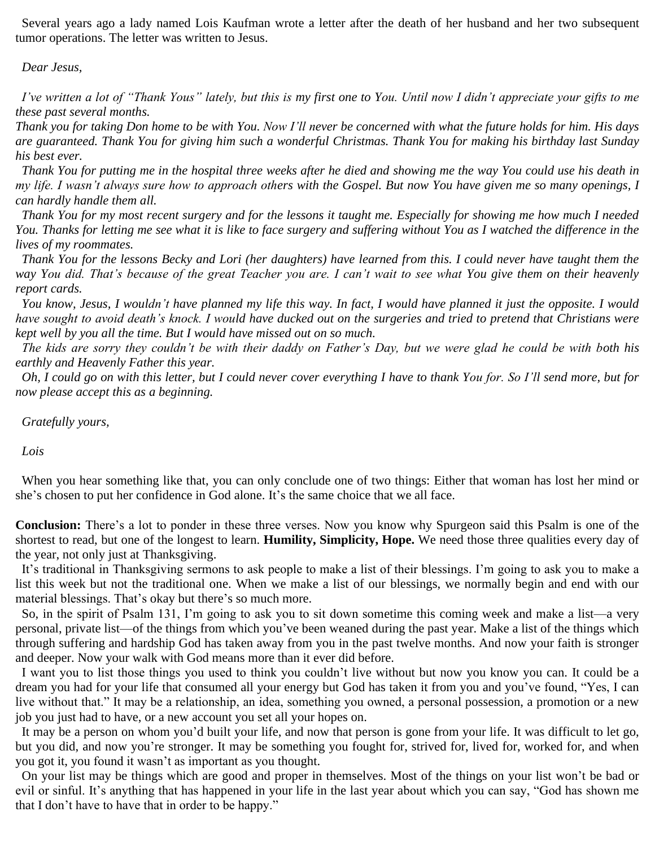Several years ago a lady named Lois Kaufman wrote a letter after the death of her husband and her two subsequent tumor operations. The letter was written to Jesus.

## *Dear Jesus,*

 *I've written a lot of "Thank Yous" lately, but this is my first one to You. Until now I didn't appreciate your gifts to me these past several months.*

*Thank you for taking Don home to be with You. Now I'll never be concerned with what the future holds for him. His days are guaranteed. Thank You for giving him such a wonderful Christmas. Thank You for making his birthday last Sunday his best ever.*

 *Thank You for putting me in the hospital three weeks after he died and showing me the way You could use his death in my life. I wasn't always sure how to approach others with the Gospel. But now You have given me so many openings, I can hardly handle them all.*

 *Thank You for my most recent surgery and for the lessons it taught me. Especially for showing me how much I needed You. Thanks for letting me see what it is like to face surgery and suffering without You as I watched the difference in the lives of my roommates.*

 *Thank You for the lessons Becky and Lori (her daughters) have learned from this. I could never have taught them the way You did. That's because of the great Teacher you are. I can't wait to see what You give them on their heavenly report cards.*

 *You know, Jesus, I wouldn't have planned my life this way. In fact, I would have planned it just the opposite. I would have sought to avoid death's knock. I would have ducked out on the surgeries and tried to pretend that Christians were kept well by you all the time. But I would have missed out on so much.*

 *The kids are sorry they couldn't be with their daddy on Father's Day, but we were glad he could be with both his earthly and Heavenly Father this year.*

 *Oh, I could go on with this letter, but I could never cover everything I have to thank You for. So I'll send more, but for now please accept this as a beginning.*

 *Gratefully yours,*

 *Lois*

 When you hear something like that, you can only conclude one of two things: Either that woman has lost her mind or she's chosen to put her confidence in God alone. It's the same choice that we all face.

**Conclusion:** There's a lot to ponder in these three verses. Now you know why Spurgeon said this Psalm is one of the shortest to read, but one of the longest to learn. **Humility, Simplicity, Hope.** We need those three qualities every day of the year, not only just at Thanksgiving.

 It's traditional in Thanksgiving sermons to ask people to make a list of their blessings. I'm going to ask you to make a list this week but not the traditional one. When we make a list of our blessings, we normally begin and end with our material blessings. That's okay but there's so much more.

 So, in the spirit of Psalm 131, I'm going to ask you to sit down sometime this coming week and make a list—a very personal, private list—of the things from which you've been weaned during the past year. Make a list of the things which through suffering and hardship God has taken away from you in the past twelve months. And now your faith is stronger and deeper. Now your walk with God means more than it ever did before.

 I want you to list those things you used to think you couldn't live without but now you know you can. It could be a dream you had for your life that consumed all your energy but God has taken it from you and you've found, "Yes, I can live without that." It may be a relationship, an idea, something you owned, a personal possession, a promotion or a new job you just had to have, or a new account you set all your hopes on.

 It may be a person on whom you'd built your life, and now that person is gone from your life. It was difficult to let go, but you did, and now you're stronger. It may be something you fought for, strived for, lived for, worked for, and when you got it, you found it wasn't as important as you thought.

 On your list may be things which are good and proper in themselves. Most of the things on your list won't be bad or evil or sinful. It's anything that has happened in your life in the last year about which you can say, "God has shown me that I don't have to have that in order to be happy."